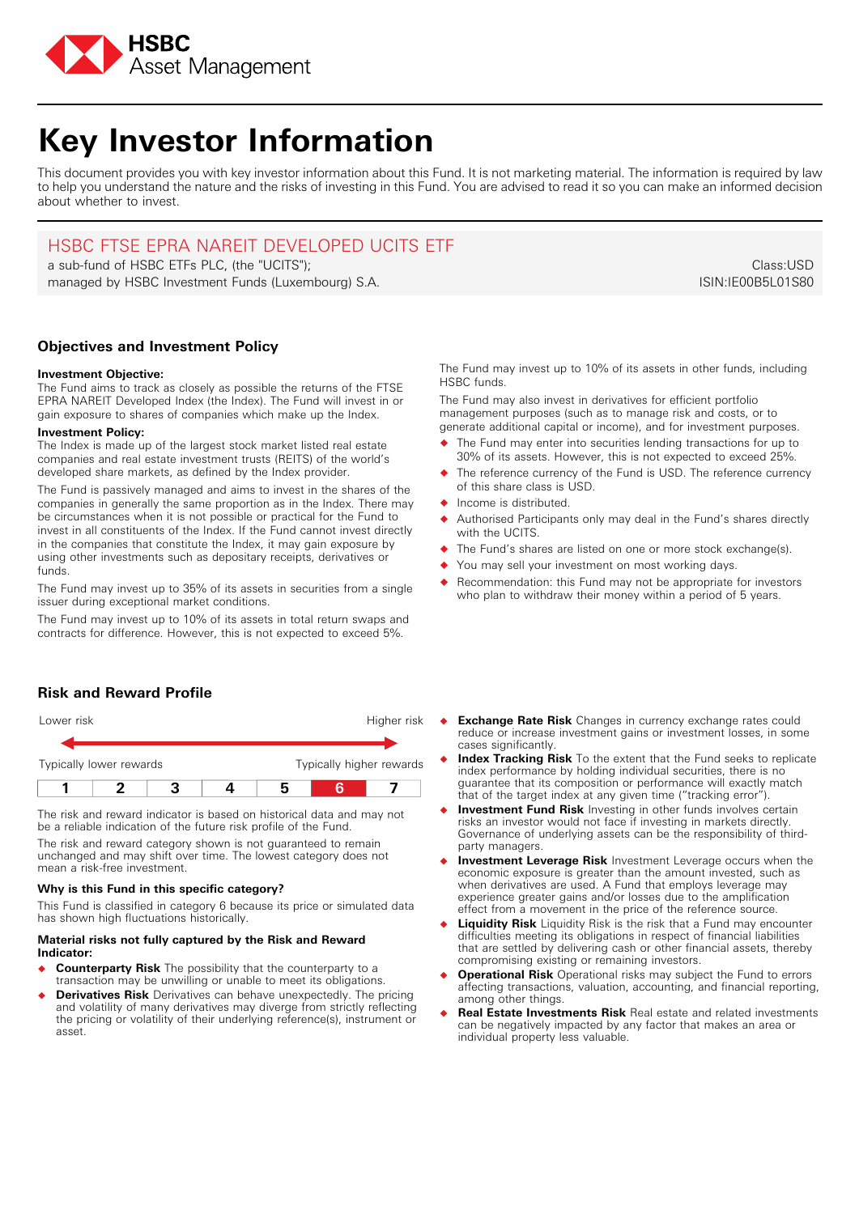

# **Key Investor Information**

This document provides you with key investor information about this Fund. It is not marketing material. The information is required by law to help you understand the nature and the risks of investing in this Fund. You are advised to read it so you can make an informed decision about whether to invest.

## HSBC FTSE EPRA NAREIT DEVELOPED UCITS ETF

a sub-fund of HSBC ETFs PLC, (the "UCITS"); managed by HSBC Investment Funds (Luxembourg) S.A.

**Objectives and Investment Policy**

## **Investment Objective:**

The Fund aims to track as closely as possible the returns of the FTSE EPRA NAREIT Developed Index (the Index). The Fund will invest in or gain exposure to shares of companies which make up the Index.

#### **Investment Policy:**

The Index is made up of the largest stock market listed real estate companies and real estate investment trusts (REITS) of the world's developed share markets, as defined by the Index provider.

The Fund is passively managed and aims to invest in the shares of the companies in generally the same proportion as in the Index. There may be circumstances when it is not possible or practical for the Fund to invest in all constituents of the Index. If the Fund cannot invest directly in the companies that constitute the Index, it may gain exposure by using other investments such as depositary receipts, derivatives or funds.

The Fund may invest up to 35% of its assets in securities from a single issuer during exceptional market conditions.

The Fund may invest up to 10% of its assets in total return swaps and contracts for difference. However, this is not expected to exceed 5%.

Class:USD

ISIN:IE00B5L01S80

The Fund may invest up to 10% of its assets in other funds, including HSBC funds.

The Fund may also invest in derivatives for efficient portfolio management purposes (such as to manage risk and costs, or to generate additional capital or income), and for investment purposes.

- � The Fund may enter into securities lending transactions for up to 30% of its assets. However, this is not expected to exceed 25%.
- The reference currency of the Fund is USD. The reference currency of this share class is USD.
- � Income is distributed.
- Authorised Participants only may deal in the Fund's shares directly with the UCITS.
- The Fund's shares are listed on one or more stock exchange(s).
- You may sell your investment on most working days.
- Recommendation: this Fund may not be appropriate for investors who plan to withdraw their money within a period of 5 years.

## **Risk and Reward Profile**



The risk and reward indicator is based on historical data and may not be a reliable indication of the future risk profile of the Fund.

The risk and reward category shown is not guaranteed to remain unchanged and may shift over time. The lowest category does not mean a risk-free investment.

## **Why is this Fund in this specific category?**

This Fund is classified in category 6 because its price or simulated data has shown high fluctuations historically.

### **Material risks not fully captured by the Risk and Reward Indicator:**

- � **Counterparty Risk** The possibility that the counterparty to a transaction may be unwilling or unable to meet its obligations.
- � **Derivatives Risk** Derivatives can behave unexpectedly. The pricing and volatility of many derivatives may diverge from strictly reflecting the pricing or volatility of their underlying reference(s), instrument or asset.
- **Exchange Rate Risk** Changes in currency exchange rates could reduce or increase investment gains or investment losses, in some cases significantly.
- � **Index Tracking Risk** To the extent that the Fund seeks to replicate index performance by holding individual securities, there is no guarantee that its composition or performance will exactly match that of the target index at any given time ("tracking error").
- **Investment Fund Risk** Investing in other funds involves certain risks an investor would not face if investing in markets directly. Governance of underlying assets can be the responsibility of thirdparty managers.
- � **Investment Leverage Risk** Investment Leverage occurs when the economic exposure is greater than the amount invested, such as when derivatives are used. A Fund that employs leverage may experience greater gains and/or losses due to the amplification effect from a movement in the price of the reference source.
- **Liquidity Risk** Liquidity Risk is the risk that a Fund may encounter difficulties meeting its obligations in respect of financial liabilities that are settled by delivering cash or other financial assets, thereby compromising existing or remaining investors.
- � **Operational Risk** Operational risks may subject the Fund to errors affecting transactions, valuation, accounting, and financial reporting, among other things.
- � **Real Estate Investments Risk** Real estate and related investments can be negatively impacted by any factor that makes an area or individual property less valuable.